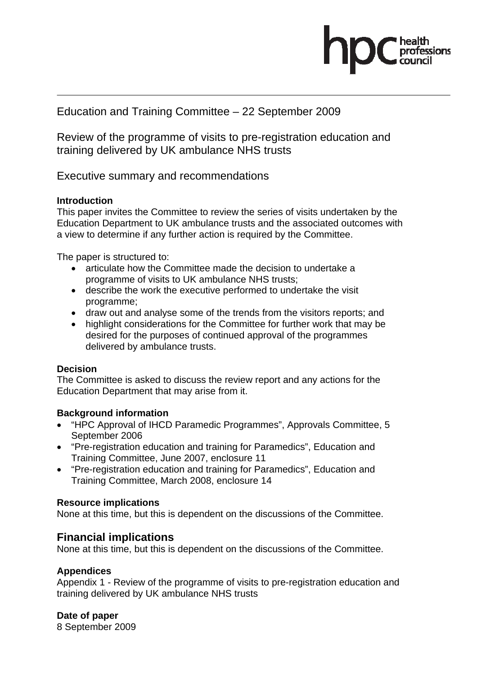

# Education and Training Committee – 22 September 2009

Review of the programme of visits to pre-registration education and training delivered by UK ambulance NHS trusts

Executive summary and recommendations

## **Introduction**

This paper invites the Committee to review the series of visits undertaken by the Education Department to UK ambulance trusts and the associated outcomes with a view to determine if any further action is required by the Committee.

The paper is structured to:

- articulate how the Committee made the decision to undertake a programme of visits to UK ambulance NHS trusts;
- describe the work the executive performed to undertake the visit programme;
- draw out and analyse some of the trends from the visitors reports; and
- highlight considerations for the Committee for further work that may be desired for the purposes of continued approval of the programmes delivered by ambulance trusts.

## **Decision**

The Committee is asked to discuss the review report and any actions for the Education Department that may arise from it.

## **Background information**

- "HPC Approval of IHCD Paramedic Programmes", Approvals Committee, 5 September 2006
- "Pre-registration education and training for Paramedics", Education and Training Committee, June 2007, enclosure 11
- "Pre-registration education and training for Paramedics", Education and Training Committee, March 2008, enclosure 14

## **Resource implications**

None at this time, but this is dependent on the discussions of the Committee.

# **Financial implications**

None at this time, but this is dependent on the discussions of the Committee.

# **Appendices**

Appendix 1 - Review of the programme of visits to pre-registration education and training delivered by UK ambulance NHS trusts

**Date of paper** 

8 September 2009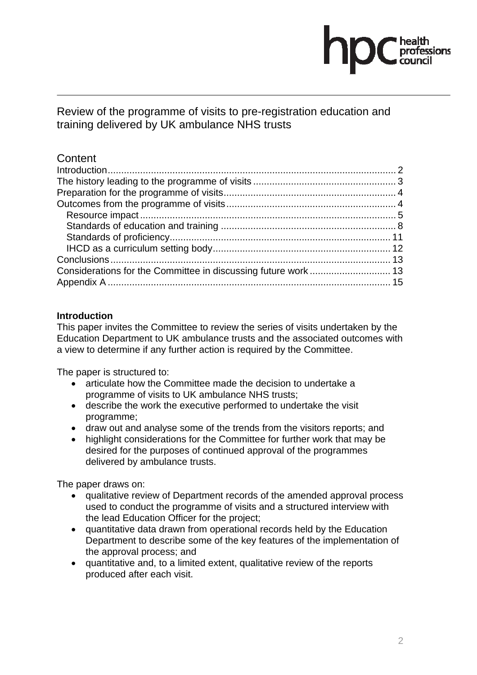

Review of the programme of visits to pre-registration education and training delivered by UK ambulance NHS trusts

# **Content**

# **Introduction**

This paper invites the Committee to review the series of visits undertaken by the Education Department to UK ambulance trusts and the associated outcomes with a view to determine if any further action is required by the Committee.

The paper is structured to:

- articulate how the Committee made the decision to undertake a programme of visits to UK ambulance NHS trusts;
- describe the work the executive performed to undertake the visit programme;
- draw out and analyse some of the trends from the visitors reports; and
- highlight considerations for the Committee for further work that may be desired for the purposes of continued approval of the programmes delivered by ambulance trusts.

The paper draws on:

- qualitative review of Department records of the amended approval process used to conduct the programme of visits and a structured interview with the lead Education Officer for the project;
- quantitative data drawn from operational records held by the Education Department to describe some of the key features of the implementation of the approval process; and
- quantitative and, to a limited extent, qualitative review of the reports produced after each visit.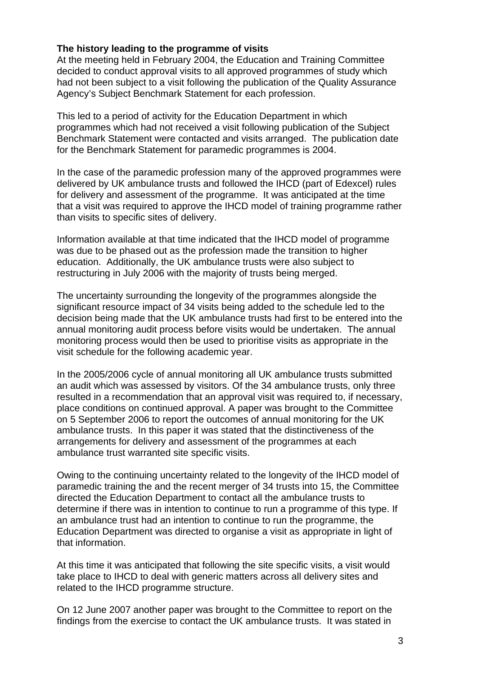## **The history leading to the programme of visits**

At the meeting held in February 2004, the Education and Training Committee decided to conduct approval visits to all approved programmes of study which had not been subject to a visit following the publication of the Quality Assurance Agency's Subject Benchmark Statement for each profession.

This led to a period of activity for the Education Department in which programmes which had not received a visit following publication of the Subject Benchmark Statement were contacted and visits arranged. The publication date for the Benchmark Statement for paramedic programmes is 2004.

In the case of the paramedic profession many of the approved programmes were delivered by UK ambulance trusts and followed the IHCD (part of Edexcel) rules for delivery and assessment of the programme. It was anticipated at the time that a visit was required to approve the IHCD model of training programme rather than visits to specific sites of delivery.

Information available at that time indicated that the IHCD model of programme was due to be phased out as the profession made the transition to higher education. Additionally, the UK ambulance trusts were also subject to restructuring in July 2006 with the majority of trusts being merged.

The uncertainty surrounding the longevity of the programmes alongside the significant resource impact of 34 visits being added to the schedule led to the decision being made that the UK ambulance trusts had first to be entered into the annual monitoring audit process before visits would be undertaken. The annual monitoring process would then be used to prioritise visits as appropriate in the visit schedule for the following academic year.

In the 2005/2006 cycle of annual monitoring all UK ambulance trusts submitted an audit which was assessed by visitors. Of the 34 ambulance trusts, only three resulted in a recommendation that an approval visit was required to, if necessary, place conditions on continued approval. A paper was brought to the Committee on 5 September 2006 to report the outcomes of annual monitoring for the UK ambulance trusts. In this paper it was stated that the distinctiveness of the arrangements for delivery and assessment of the programmes at each ambulance trust warranted site specific visits.

Owing to the continuing uncertainty related to the longevity of the IHCD model of paramedic training the and the recent merger of 34 trusts into 15, the Committee directed the Education Department to contact all the ambulance trusts to determine if there was in intention to continue to run a programme of this type. If an ambulance trust had an intention to continue to run the programme, the Education Department was directed to organise a visit as appropriate in light of that information.

At this time it was anticipated that following the site specific visits, a visit would take place to IHCD to deal with generic matters across all delivery sites and related to the IHCD programme structure.

On 12 June 2007 another paper was brought to the Committee to report on the findings from the exercise to contact the UK ambulance trusts. It was stated in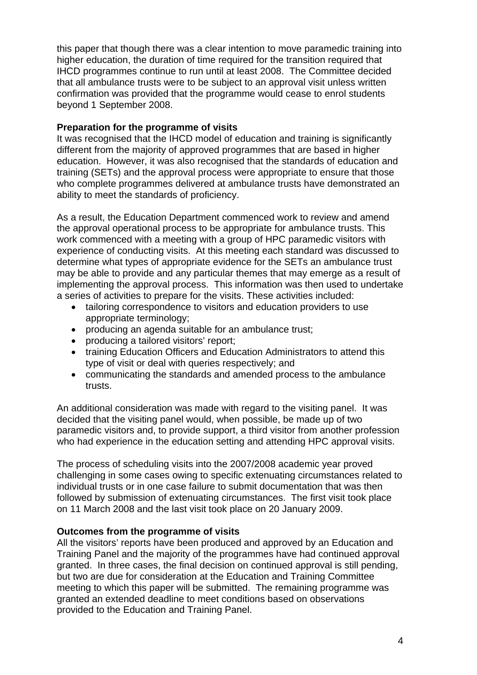this paper that though there was a clear intention to move paramedic training into higher education, the duration of time required for the transition required that IHCD programmes continue to run until at least 2008. The Committee decided that all ambulance trusts were to be subject to an approval visit unless written confirmation was provided that the programme would cease to enrol students beyond 1 September 2008.

## **Preparation for the programme of visits**

It was recognised that the IHCD model of education and training is significantly different from the majority of approved programmes that are based in higher education. However, it was also recognised that the standards of education and training (SETs) and the approval process were appropriate to ensure that those who complete programmes delivered at ambulance trusts have demonstrated an ability to meet the standards of proficiency.

As a result, the Education Department commenced work to review and amend the approval operational process to be appropriate for ambulance trusts. This work commenced with a meeting with a group of HPC paramedic visitors with experience of conducting visits. At this meeting each standard was discussed to determine what types of appropriate evidence for the SETs an ambulance trust may be able to provide and any particular themes that may emerge as a result of implementing the approval process. This information was then used to undertake a series of activities to prepare for the visits. These activities included:

- tailoring correspondence to visitors and education providers to use appropriate terminology;
- producing an agenda suitable for an ambulance trust;
- producing a tailored visitors' report;
- training Education Officers and Education Administrators to attend this type of visit or deal with queries respectively; and
- communicating the standards and amended process to the ambulance trusts.

An additional consideration was made with regard to the visiting panel. It was decided that the visiting panel would, when possible, be made up of two paramedic visitors and, to provide support, a third visitor from another profession who had experience in the education setting and attending HPC approval visits.

The process of scheduling visits into the 2007/2008 academic year proved challenging in some cases owing to specific extenuating circumstances related to individual trusts or in one case failure to submit documentation that was then followed by submission of extenuating circumstances. The first visit took place on 11 March 2008 and the last visit took place on 20 January 2009.

## **Outcomes from the programme of visits**

All the visitors' reports have been produced and approved by an Education and Training Panel and the majority of the programmes have had continued approval granted. In three cases, the final decision on continued approval is still pending, but two are due for consideration at the Education and Training Committee meeting to which this paper will be submitted. The remaining programme was granted an extended deadline to meet conditions based on observations provided to the Education and Training Panel.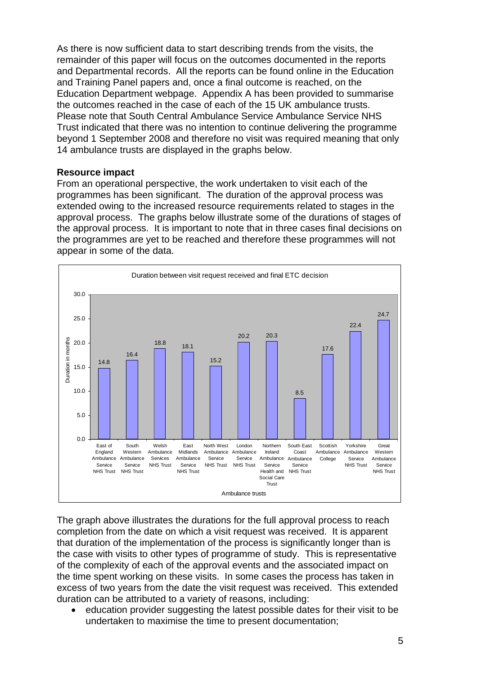As there is now sufficient data to start describing trends from the visits, the remainder of this paper will focus on the outcomes documented in the reports and Departmental records. All the reports can be found online in the Education and Training Panel papers and, once a final outcome is reached, on the Education Department webpage. Appendix A has been provided to summarise the outcomes reached in the case of each of the 15 UK ambulance trusts. Please note that South Central Ambulance Service Ambulance Service NHS Trust indicated that there was no intention to continue delivering the programme beyond 1 September 2008 and therefore no visit was required meaning that only 14 ambulance trusts are displayed in the graphs below.

## **Resource impact**

From an operational perspective, the work undertaken to visit each of the programmes has been significant. The duration of the approval process was extended owing to the increased resource requirements related to stages in the approval process. The graphs below illustrate some of the durations of stages of the approval process. It is important to note that in three cases final decisions on the programmes are yet to be reached and therefore these programmes will not appear in some of the data.



The graph above illustrates the durations for the full approval process to reach completion from the date on which a visit request was received. It is apparent that duration of the implementation of the process is significantly longer than is the case with visits to other types of programme of study. This is representative of the complexity of each of the approval events and the associated impact on the time spent working on these visits. In some cases the process has taken in excess of two years from the date the visit request was received. This extended duration can be attributed to a variety of reasons, including:

education provider suggesting the latest possible dates for their visit to be undertaken to maximise the time to present documentation;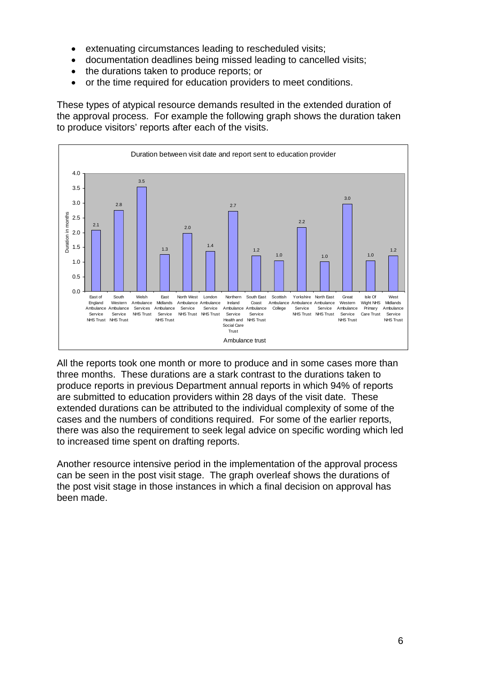- extenuating circumstances leading to rescheduled visits;
- documentation deadlines being missed leading to cancelled visits;
- the durations taken to produce reports; or
- or the time required for education providers to meet conditions.

These types of atypical resource demands resulted in the extended duration of the approval process. For example the following graph shows the duration taken to produce visitors' reports after each of the visits.



All the reports took one month or more to produce and in some cases more than three months. These durations are a stark contrast to the durations taken to produce reports in previous Department annual reports in which 94% of reports are submitted to education providers within 28 days of the visit date. These extended durations can be attributed to the individual complexity of some of the cases and the numbers of conditions required. For some of the earlier reports, there was also the requirement to seek legal advice on specific wording which led to increased time spent on drafting reports.

Another resource intensive period in the implementation of the approval process can be seen in the post visit stage. The graph overleaf shows the durations of the post visit stage in those instances in which a final decision on approval has been made.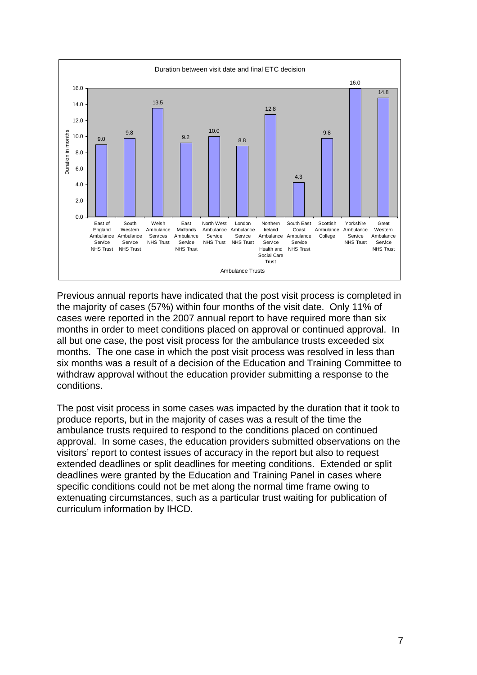

Previous annual reports have indicated that the post visit process is completed in the majority of cases (57%) within four months of the visit date. Only 11% of cases were reported in the 2007 annual report to have required more than six months in order to meet conditions placed on approval or continued approval. In all but one case, the post visit process for the ambulance trusts exceeded six months. The one case in which the post visit process was resolved in less than six months was a result of a decision of the Education and Training Committee to withdraw approval without the education provider submitting a response to the conditions.

The post visit process in some cases was impacted by the duration that it took to produce reports, but in the majority of cases was a result of the time the ambulance trusts required to respond to the conditions placed on continued approval. In some cases, the education providers submitted observations on the visitors' report to contest issues of accuracy in the report but also to request extended deadlines or split deadlines for meeting conditions. Extended or split deadlines were granted by the Education and Training Panel in cases where specific conditions could not be met along the normal time frame owing to extenuating circumstances, such as a particular trust waiting for publication of curriculum information by IHCD.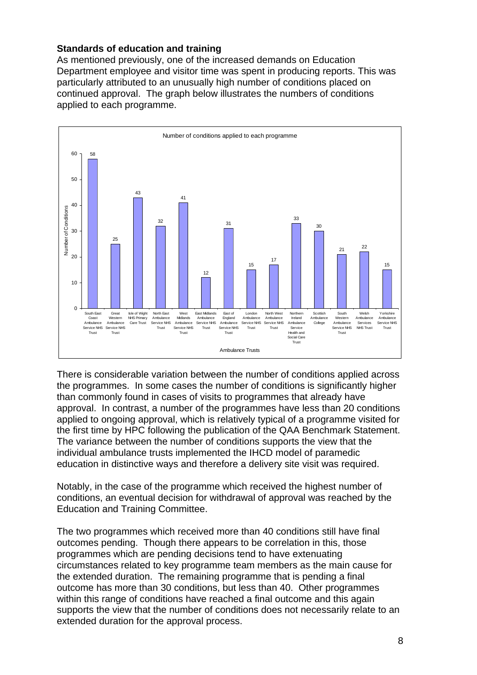# **Standards of education and training**

As mentioned previously, one of the increased demands on Education Department employee and visitor time was spent in producing reports. This was particularly attributed to an unusually high number of conditions placed on continued approval. The graph below illustrates the numbers of conditions applied to each programme.



There is considerable variation between the number of conditions applied across the programmes. In some cases the number of conditions is significantly higher than commonly found in cases of visits to programmes that already have approval. In contrast, a number of the programmes have less than 20 conditions applied to ongoing approval, which is relatively typical of a programme visited for the first time by HPC following the publication of the QAA Benchmark Statement. The variance between the number of conditions supports the view that the individual ambulance trusts implemented the IHCD model of paramedic education in distinctive ways and therefore a delivery site visit was required.

Notably, in the case of the programme which received the highest number of conditions, an eventual decision for withdrawal of approval was reached by the Education and Training Committee.

The two programmes which received more than 40 conditions still have final outcomes pending. Though there appears to be correlation in this, those programmes which are pending decisions tend to have extenuating circumstances related to key programme team members as the main cause for the extended duration. The remaining programme that is pending a final outcome has more than 30 conditions, but less than 40. Other programmes within this range of conditions have reached a final outcome and this again supports the view that the number of conditions does not necessarily relate to an extended duration for the approval process.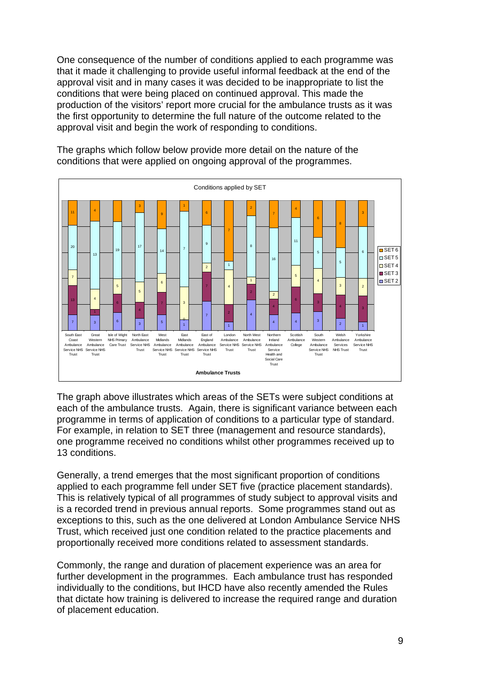One consequence of the number of conditions applied to each programme was that it made it challenging to provide useful informal feedback at the end of the approval visit and in many cases it was decided to be inappropriate to list the conditions that were being placed on continued approval. This made the production of the visitors' report more crucial for the ambulance trusts as it was the first opportunity to determine the full nature of the outcome related to the approval visit and begin the work of responding to conditions.



The graphs which follow below provide more detail on the nature of the conditions that were applied on ongoing approval of the programmes.

The graph above illustrates which areas of the SETs were subject conditions at each of the ambulance trusts. Again, there is significant variance between each programme in terms of application of conditions to a particular type of standard. For example, in relation to SET three (management and resource standards), one programme received no conditions whilst other programmes received up to 13 conditions.

Generally, a trend emerges that the most significant proportion of conditions applied to each programme fell under SET five (practice placement standards). This is relatively typical of all programmes of study subject to approval visits and is a recorded trend in previous annual reports. Some programmes stand out as exceptions to this, such as the one delivered at London Ambulance Service NHS Trust, which received just one condition related to the practice placements and proportionally received more conditions related to assessment standards.

Commonly, the range and duration of placement experience was an area for further development in the programmes. Each ambulance trust has responded individually to the conditions, but IHCD have also recently amended the Rules that dictate how training is delivered to increase the required range and duration of placement education.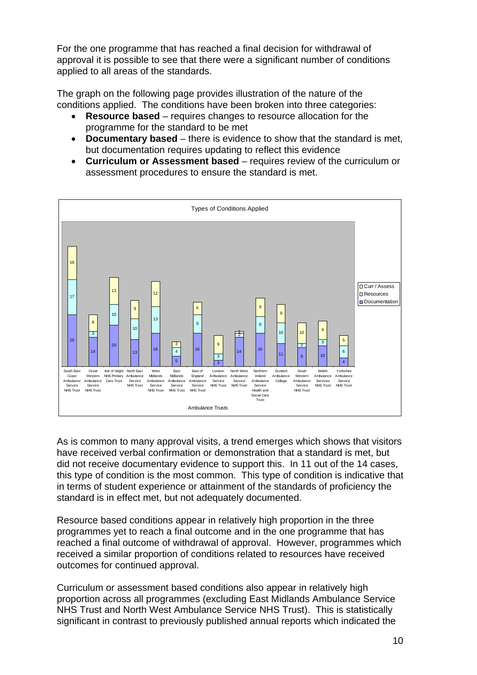For the one programme that has reached a final decision for withdrawal of approval it is possible to see that there were a significant number of conditions applied to all areas of the standards.

The graph on the following page provides illustration of the nature of the conditions applied. The conditions have been broken into three categories:

- **Resource based** requires changes to resource allocation for the programme for the standard to be met
- **Documentary based** there is evidence to show that the standard is met, but documentation requires updating to reflect this evidence
- **Curriculum or Assessment based** requires review of the curriculum or assessment procedures to ensure the standard is met.



As is common to many approval visits, a trend emerges which shows that visitors have received verbal confirmation or demonstration that a standard is met, but did not receive documentary evidence to support this. In 11 out of the 14 cases, this type of condition is the most common. This type of condition is indicative that in terms of student experience or attainment of the standards of proficiency the standard is in effect met, but not adequately documented.

Resource based conditions appear in relatively high proportion in the three programmes yet to reach a final outcome and in the one programme that has reached a final outcome of withdrawal of approval. However, programmes which received a similar proportion of conditions related to resources have received outcomes for continued approval.

Curriculum or assessment based conditions also appear in relatively high proportion across all programmes (excluding East Midlands Ambulance Service NHS Trust and North West Ambulance Service NHS Trust). This is statistically significant in contrast to previously published annual reports which indicated the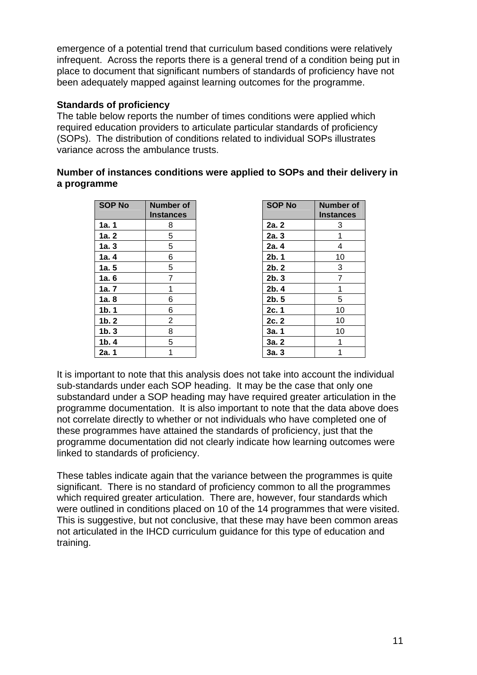emergence of a potential trend that curriculum based conditions were relatively infrequent. Across the reports there is a general trend of a condition being put in place to document that significant numbers of standards of proficiency have not been adequately mapped against learning outcomes for the programme.

# **Standards of proficiency**

The table below reports the number of times conditions were applied which required education providers to articulate particular standards of proficiency (SOPs). The distribution of conditions related to individual SOPs illustrates variance across the ambulance trusts.

# **Number of instances conditions were applied to SOPs and their delivery in a programme**

| <b>SOP No</b>    | <b>Number of</b><br><b>Instances</b> | <b>SOP No</b> | <b>Numbe</b><br><b>Instanc</b> |
|------------------|--------------------------------------|---------------|--------------------------------|
| 1a.1             | 8                                    | 2a. 2         | 3                              |
| 1a.2             | 5                                    | 2a.3          | 1                              |
| 1a.3             | 5                                    | 2a. 4         | 4                              |
| 1a.4             | 6                                    | 2b.1          | 10                             |
| 1a.5             | 5                                    | 2b.2          | 3                              |
| 1a.6             | 7                                    | 2b.3          | $\overline{7}$                 |
| 1a.7             | 1                                    | 2b.4          | 1                              |
| 1a.8             | 6                                    | 2b.5          | 5                              |
| $1b$ . 1         | 6                                    | 2c.1          | 10                             |
| $1b$ . 2         | 2                                    | 2c.2          | 10 <sup>°</sup>                |
| 1 <sub>b.3</sub> | 8                                    | 3a.1          | 10 <sup>1</sup>                |
| 1 <sub>b.4</sub> | 5                                    | 3a.2          | 1                              |
| 2a. 1            | 1                                    | 3a.3          | 1                              |

| <b>SOP No</b>     | <b>Number of</b><br><b>Instances</b> |
|-------------------|--------------------------------------|
| 2a.2              | 3                                    |
| 2a.3              | 1                                    |
| 2a. 4             | 4                                    |
| 2b.1              | 10                                   |
| $2b$ . 2          | 3                                    |
| 2 <sub>b. 3</sub> | $\overline{7}$                       |
| 2 <sub>b.4</sub>  | 1                                    |
| 2b.5              | 5                                    |
| 2c. 1             | 10                                   |
| 2c.2              | 10                                   |
| 3a. 1             | 10                                   |
| 3a.2              | 1                                    |
| 3a. 3             | 1                                    |

It is important to note that this analysis does not take into account the individual sub-standards under each SOP heading. It may be the case that only one substandard under a SOP heading may have required greater articulation in the programme documentation. It is also important to note that the data above does not correlate directly to whether or not individuals who have completed one of these programmes have attained the standards of proficiency, just that the programme documentation did not clearly indicate how learning outcomes were linked to standards of proficiency.

These tables indicate again that the variance between the programmes is quite significant. There is no standard of proficiency common to all the programmes which required greater articulation. There are, however, four standards which were outlined in conditions placed on 10 of the 14 programmes that were visited. This is suggestive, but not conclusive, that these may have been common areas not articulated in the IHCD curriculum guidance for this type of education and training.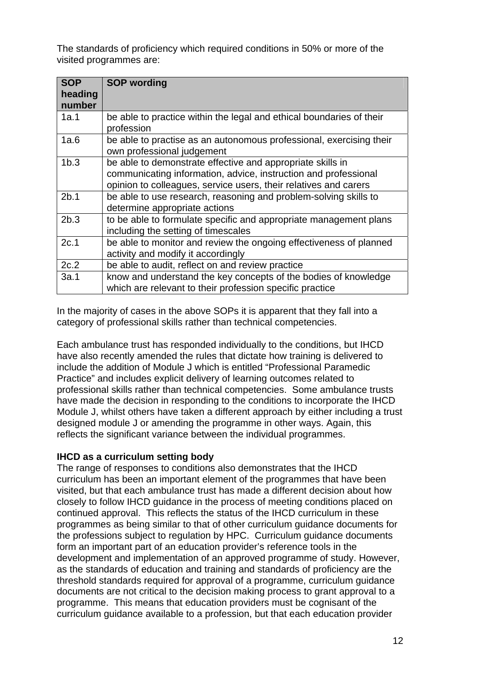The standards of proficiency which required conditions in 50% or more of the visited programmes are:

| <b>SOP</b><br>heading<br>number | <b>SOP wording</b>                                                                                                                                                                                |
|---------------------------------|---------------------------------------------------------------------------------------------------------------------------------------------------------------------------------------------------|
| 1a.1                            | be able to practice within the legal and ethical boundaries of their<br>profession                                                                                                                |
| 1a.6                            | be able to practise as an autonomous professional, exercising their<br>own professional judgement                                                                                                 |
| 1 <sub>b.3</sub>                | be able to demonstrate effective and appropriate skills in<br>communicating information, advice, instruction and professional<br>opinion to colleagues, service users, their relatives and carers |
| 2b.1                            | be able to use research, reasoning and problem-solving skills to<br>determine appropriate actions                                                                                                 |
| 2b.3                            | to be able to formulate specific and appropriate management plans<br>including the setting of timescales                                                                                          |
| 2c.1                            | be able to monitor and review the ongoing effectiveness of planned<br>activity and modify it accordingly                                                                                          |
| 2c.2                            | be able to audit, reflect on and review practice                                                                                                                                                  |
| 3a.1                            | know and understand the key concepts of the bodies of knowledge<br>which are relevant to their profession specific practice                                                                       |

In the majority of cases in the above SOPs it is apparent that they fall into a category of professional skills rather than technical competencies.

Each ambulance trust has responded individually to the conditions, but IHCD have also recently amended the rules that dictate how training is delivered to include the addition of Module J which is entitled "Professional Paramedic Practice" and includes explicit delivery of learning outcomes related to professional skills rather than technical competencies. Some ambulance trusts have made the decision in responding to the conditions to incorporate the IHCD Module J, whilst others have taken a different approach by either including a trust designed module J or amending the programme in other ways. Again, this reflects the significant variance between the individual programmes.

## **IHCD as a curriculum setting body**

The range of responses to conditions also demonstrates that the IHCD curriculum has been an important element of the programmes that have been visited, but that each ambulance trust has made a different decision about how closely to follow IHCD guidance in the process of meeting conditions placed on continued approval. This reflects the status of the IHCD curriculum in these programmes as being similar to that of other curriculum guidance documents for the professions subject to regulation by HPC. Curriculum guidance documents form an important part of an education provider's reference tools in the development and implementation of an approved programme of study. However, as the standards of education and training and standards of proficiency are the threshold standards required for approval of a programme, curriculum guidance documents are not critical to the decision making process to grant approval to a programme. This means that education providers must be cognisant of the curriculum guidance available to a profession, but that each education provider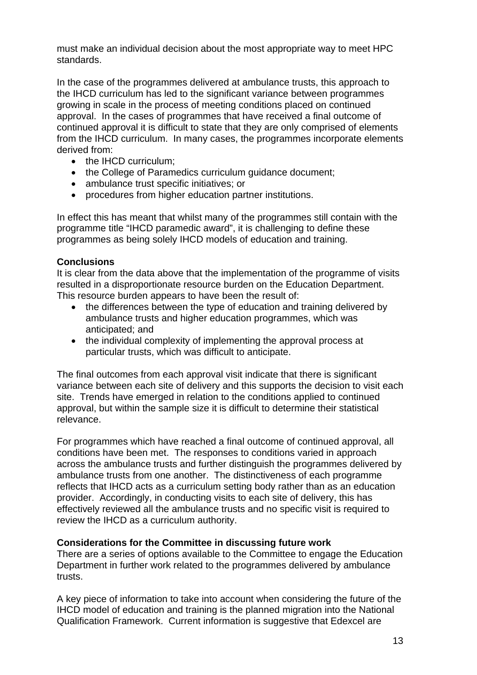must make an individual decision about the most appropriate way to meet HPC standards.

In the case of the programmes delivered at ambulance trusts, this approach to the IHCD curriculum has led to the significant variance between programmes growing in scale in the process of meeting conditions placed on continued approval. In the cases of programmes that have received a final outcome of continued approval it is difficult to state that they are only comprised of elements from the IHCD curriculum. In many cases, the programmes incorporate elements derived from:

- the IHCD curriculum:
- the College of Paramedics curriculum guidance document;
- ambulance trust specific initiatives; or
- procedures from higher education partner institutions.

In effect this has meant that whilst many of the programmes still contain with the programme title "IHCD paramedic award", it is challenging to define these programmes as being solely IHCD models of education and training.

## **Conclusions**

It is clear from the data above that the implementation of the programme of visits resulted in a disproportionate resource burden on the Education Department. This resource burden appears to have been the result of:

- the differences between the type of education and training delivered by ambulance trusts and higher education programmes, which was anticipated; and
- the individual complexity of implementing the approval process at particular trusts, which was difficult to anticipate.

The final outcomes from each approval visit indicate that there is significant variance between each site of delivery and this supports the decision to visit each site. Trends have emerged in relation to the conditions applied to continued approval, but within the sample size it is difficult to determine their statistical relevance.

For programmes which have reached a final outcome of continued approval, all conditions have been met. The responses to conditions varied in approach across the ambulance trusts and further distinguish the programmes delivered by ambulance trusts from one another. The distinctiveness of each programme reflects that IHCD acts as a curriculum setting body rather than as an education provider. Accordingly, in conducting visits to each site of delivery, this has effectively reviewed all the ambulance trusts and no specific visit is required to review the IHCD as a curriculum authority.

## **Considerations for the Committee in discussing future work**

There are a series of options available to the Committee to engage the Education Department in further work related to the programmes delivered by ambulance trusts.

A key piece of information to take into account when considering the future of the IHCD model of education and training is the planned migration into the National Qualification Framework. Current information is suggestive that Edexcel are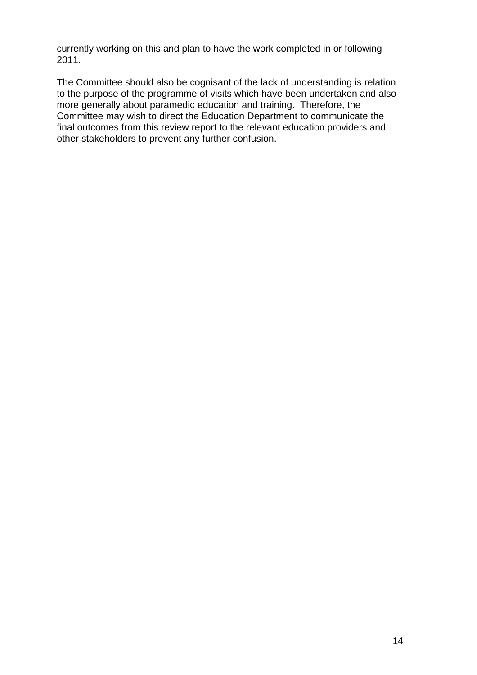currently working on this and plan to have the work completed in or following 2011.

The Committee should also be cognisant of the lack of understanding is relation to the purpose of the programme of visits which have been undertaken and also more generally about paramedic education and training. Therefore, the Committee may wish to direct the Education Department to communicate the final outcomes from this review report to the relevant education providers and other stakeholders to prevent any further confusion.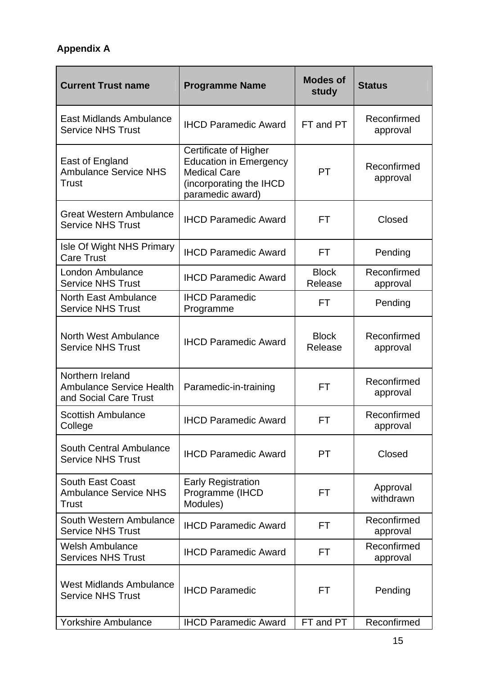# **Appendix A**

| <b>Current Trust name</b>                                                    | <b>Programme Name</b>                                                                                                        | <b>Modes of</b><br>study | <b>Status</b>           |
|------------------------------------------------------------------------------|------------------------------------------------------------------------------------------------------------------------------|--------------------------|-------------------------|
| East Midlands Ambulance<br><b>Service NHS Trust</b>                          | <b>IHCD Paramedic Award</b>                                                                                                  | FT and PT                | Reconfirmed<br>approval |
| East of England<br><b>Ambulance Service NHS</b><br>Trust                     | Certificate of Higher<br><b>Education in Emergency</b><br><b>Medical Care</b><br>(incorporating the IHCD<br>paramedic award) | <b>PT</b>                | Reconfirmed<br>approval |
| <b>Great Western Ambulance</b><br><b>Service NHS Trust</b>                   | <b>IHCD Paramedic Award</b>                                                                                                  | FT                       | Closed                  |
| Isle Of Wight NHS Primary<br><b>Care Trust</b>                               | <b>IHCD Paramedic Award</b>                                                                                                  | <b>FT</b>                | Pending                 |
| London Ambulance<br><b>Service NHS Trust</b>                                 | <b>IHCD Paramedic Award</b>                                                                                                  | <b>Block</b><br>Release  | Reconfirmed<br>approval |
| <b>North East Ambulance</b><br><b>Service NHS Trust</b>                      | <b>IHCD Paramedic</b><br>Programme                                                                                           | <b>FT</b>                | Pending                 |
| North West Ambulance<br><b>Service NHS Trust</b>                             | <b>IHCD Paramedic Award</b>                                                                                                  | <b>Block</b><br>Release  | Reconfirmed<br>approval |
| Northern Ireland<br><b>Ambulance Service Health</b><br>and Social Care Trust | Paramedic-in-training                                                                                                        | FT                       | Reconfirmed<br>approval |
| <b>Scottish Ambulance</b><br>College                                         | <b>IHCD Paramedic Award</b>                                                                                                  | <b>FT</b>                | Reconfirmed<br>approval |
| South Central Ambulance<br><b>Service NHS Trust</b>                          | <b>IHCD Paramedic Award</b>                                                                                                  | <b>PT</b>                | Closed                  |
| South East Coast<br><b>Ambulance Service NHS</b><br>Trust                    | <b>Early Registration</b><br>Programme (IHCD<br>Modules)                                                                     | FT                       | Approval<br>withdrawn   |
| South Western Ambulance<br><b>Service NHS Trust</b>                          | <b>IHCD Paramedic Award</b>                                                                                                  | FT                       | Reconfirmed<br>approval |
| <b>Welsh Ambulance</b><br><b>Services NHS Trust</b>                          | <b>IHCD Paramedic Award</b>                                                                                                  | FT.                      | Reconfirmed<br>approval |
| <b>West Midlands Ambulance</b><br><b>Service NHS Trust</b>                   | <b>IHCD Paramedic</b>                                                                                                        | FT.                      | Pending                 |
| <b>Yorkshire Ambulance</b>                                                   | <b>IHCD Paramedic Award</b>                                                                                                  | FT and PT                | Reconfirmed             |